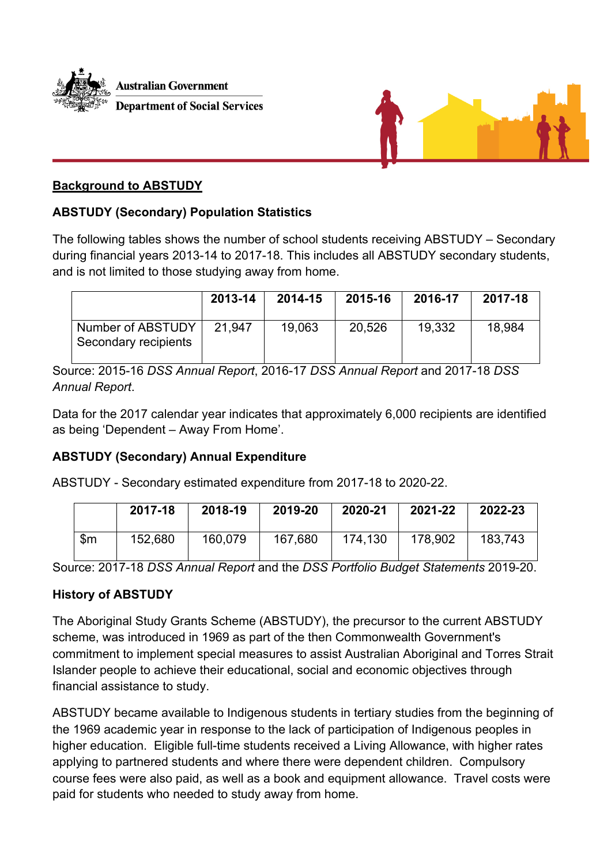



# **Background to ABSTUDY**

## **ABSTUDY (Secondary) Population Statistics**

The following tables shows the number of school students receiving ABSTUDY – Secondary during financial years 2013-14 to 2017-18. This includes all ABSTUDY secondary students, and is not limited to those studying away from home.

|                                           | 2013-14 | 2014-15 | 2015-16 | 2016-17 | 2017-18 |
|-------------------------------------------|---------|---------|---------|---------|---------|
| Number of ABSTUDY<br>Secondary recipients | 21.947  | 19,063  | 20,526  | 19.332  | 18.984  |

Source: 2015-16 *DSS Annual Report*, 2016-17 *DSS Annual Report* and 2017-18 *DSS Annual Report*.

Data for the 2017 calendar year indicates that approximately 6,000 recipients are identified as being 'Dependent – Away From Home'.

## **ABSTUDY (Secondary) Annual Expenditure**

ABSTUDY - Secondary estimated expenditure from 2017-18 to 2020-22.

|                | 2017-18 | 2018-19 | 2019-20 | 2020-21 | 2021-22 | 2022-23 |
|----------------|---------|---------|---------|---------|---------|---------|
| $\mathsf{S}$ m | 152,680 | 160,079 | 167.680 | 174,130 | 178,902 | 183,743 |

Source: 2017-18 *DSS Annual Report* and the *DSS Portfolio Budget Statements* 2019-20.

## **History of ABSTUDY**

The Aboriginal Study Grants Scheme (ABSTUDY), the precursor to the current ABSTUDY scheme, was introduced in 1969 as part of the then Commonwealth Government's commitment to implement special measures to assist Australian Aboriginal and Torres Strait Islander people to achieve their educational, social and economic objectives through financial assistance to study.

ABSTUDY became available to Indigenous students in tertiary studies from the beginning of the 1969 academic year in response to the lack of participation of Indigenous peoples in higher education. Eligible full-time students received a Living Allowance, with higher rates applying to partnered students and where there were dependent children. Compulsory course fees were also paid, as well as a book and equipment allowance. Travel costs were paid for students who needed to study away from home.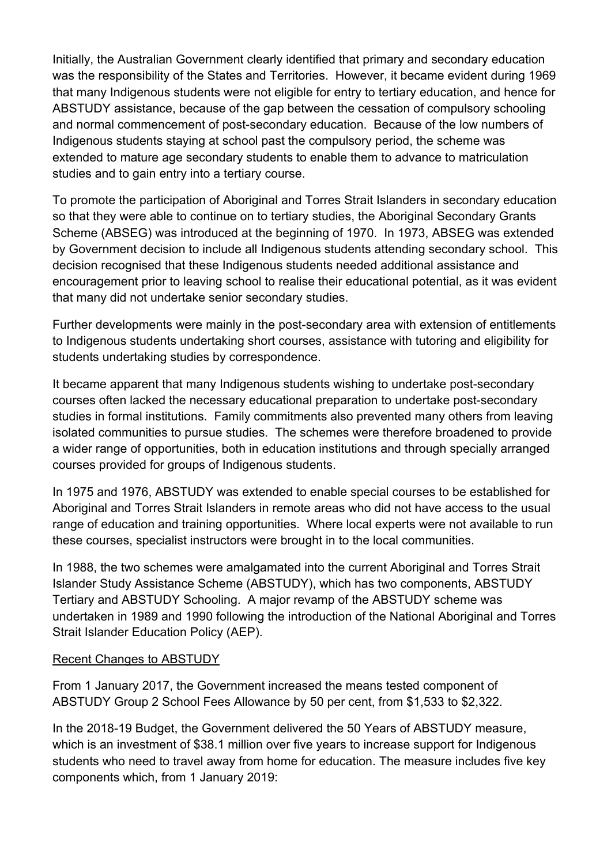Initially, the Australian Government clearly identified that primary and secondary education was the responsibility of the States and Territories. However, it became evident during 1969 that many Indigenous students were not eligible for entry to tertiary education, and hence for ABSTUDY assistance, because of the gap between the cessation of compulsory schooling and normal commencement of post-secondary education. Because of the low numbers of Indigenous students staying at school past the compulsory period, the scheme was extended to mature age secondary students to enable them to advance to matriculation studies and to gain entry into a tertiary course.

To promote the participation of Aboriginal and Torres Strait Islanders in secondary education so that they were able to continue on to tertiary studies, the Aboriginal Secondary Grants Scheme (ABSEG) was introduced at the beginning of 1970. In 1973, ABSEG was extended by Government decision to include all Indigenous students attending secondary school. This decision recognised that these Indigenous students needed additional assistance and encouragement prior to leaving school to realise their educational potential, as it was evident that many did not undertake senior secondary studies.

Further developments were mainly in the post-secondary area with extension of entitlements to Indigenous students undertaking short courses, assistance with tutoring and eligibility for students undertaking studies by correspondence.

It became apparent that many Indigenous students wishing to undertake post-secondary courses often lacked the necessary educational preparation to undertake post-secondary studies in formal institutions. Family commitments also prevented many others from leaving isolated communities to pursue studies. The schemes were therefore broadened to provide a wider range of opportunities, both in education institutions and through specially arranged courses provided for groups of Indigenous students.

In 1975 and 1976, ABSTUDY was extended to enable special courses to be established for Aboriginal and Torres Strait Islanders in remote areas who did not have access to the usual range of education and training opportunities. Where local experts were not available to run these courses, specialist instructors were brought in to the local communities.

In 1988, the two schemes were amalgamated into the current Aboriginal and Torres Strait Islander Study Assistance Scheme (ABSTUDY), which has two components, ABSTUDY Tertiary and ABSTUDY Schooling. A major revamp of the ABSTUDY scheme was undertaken in 1989 and 1990 following the introduction of the National Aboriginal and Torres Strait Islander Education Policy (AEP).

## Recent Changes to ABSTUDY

From 1 January 2017, the Government increased the means tested component of ABSTUDY Group 2 School Fees Allowance by 50 per cent, from \$1,533 to \$2,322.

In the 2018-19 Budget, the Government delivered the 50 Years of ABSTUDY measure, which is an investment of \$38.1 million over five years to increase support for Indigenous students who need to travel away from home for education. The measure includes five key components which, from 1 January 2019: